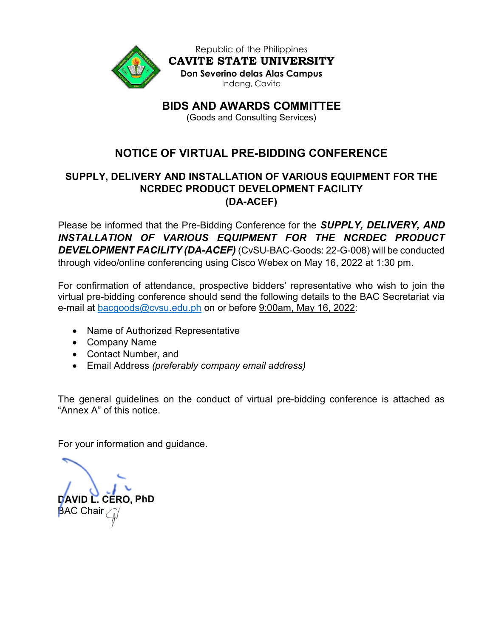

Republic of the Philippines CAVITE STATE UNIVERSITY Don Severino delas Alas Campus Indang, Cavite

BIDS AND AWARDS COMMITTEE

(Goods and Consulting Services)

# NOTICE OF VIRTUAL PRE-BIDDING CONFERENCE

# SUPPLY, DELIVERY AND INSTALLATION OF VARIOUS EQUIPMENT FOR THE NCRDEC PRODUCT DEVELOPMENT FACILITY (DA-ACEF)

Please be informed that the Pre-Bidding Conference for the **SUPPLY, DELIVERY, AND** INSTALLATION OF VARIOUS EQUIPMENT FOR THE NCRDEC PRODUCT DEVELOPMENT FACILITY (DA-ACEF) (CvSU-BAC-Goods: 22-G-008) will be conducted through video/online conferencing using Cisco Webex on May 16, 2022 at 1:30 pm.

For confirmation of attendance, prospective bidders' representative who wish to join the virtual pre-bidding conference should send the following details to the BAC Secretariat via e-mail at bacgoods@cvsu.edu.ph on or before 9:00am, May 16, 2022:

- Name of Authorized Representative
- Company Name
- Contact Number, and
- Email Address (preferably company email address)

The general guidelines on the conduct of virtual pre-bidding conference is attached as "Annex A" of this notice.

For your information and guidance.

DAVID L. CERO, PhD **BAC Chair**